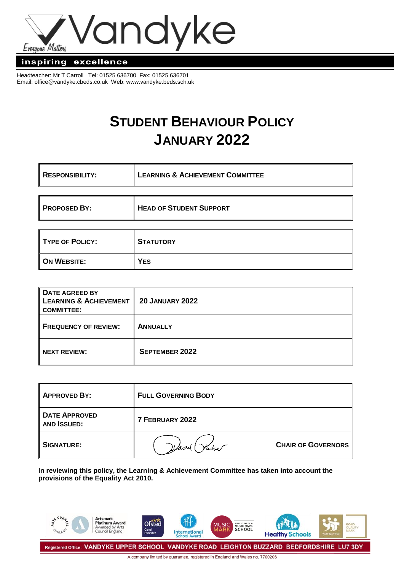

#### inspiring excellence

Headteacher: Mr T Carroll Tel: 01525 636700 Fax: 01525 636701 Email: [office@vandyke.cbeds.co.uk](mailto:office@vandyke.cbeds.co.uk) Web: www.vandyke.beds.sch.uk

# **STUDENT BEHAVIOUR POLICY JANUARY 2022**

| <b>RESPONSIBILITY:</b> | <b>LEARNING &amp; ACHIEVEMENT COMMITTEE</b> |  |
|------------------------|---------------------------------------------|--|
|                        |                                             |  |
| <b>PROPOSED BY:</b>    | <b>HEAD OF STUDENT SUPPORT</b>              |  |
|                        |                                             |  |
| <b>TYPE OF POLICY:</b> | <b>STATUTORY</b>                            |  |
| <b>ON WEBSITE:</b>     | YES                                         |  |

| DATE AGREED BY<br><b>LEARNING &amp; ACHIEVEMENT</b><br><b>COMMITTEE:</b> | <b>20 JANUARY 2022</b> |
|--------------------------------------------------------------------------|------------------------|
| <b>FREQUENCY OF REVIEW:</b>                                              | <b>ANNUALLY</b>        |
| <b>NEXT REVIEW:</b>                                                      | <b>SEPTEMBER 2022</b>  |

| <b>APPROVED BY:</b>                        | <b>FULL GOVERNING BODY</b> |                           |
|--------------------------------------------|----------------------------|---------------------------|
| <b>DATE APPROVED</b><br><b>AND ISSUED:</b> | 7 FEBRUARY 2022            |                           |
| <b>SIGNATURE:</b>                          |                            | <b>CHAIR OF GOVERNORS</b> |

**In reviewing this policy, the Learning & Achievement Committee has taken into account the provisions of the Equality Act 2010.**

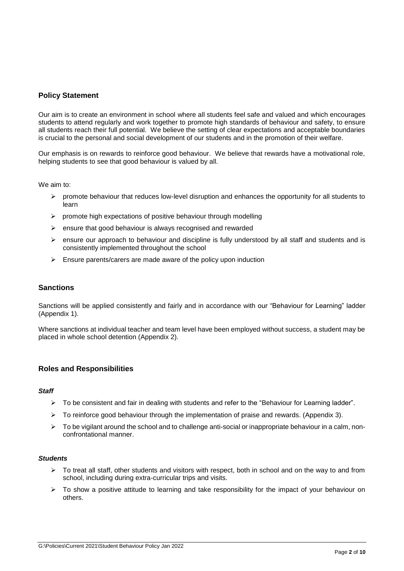# **Policy Statement**

Our aim is to create an environment in school where all students feel safe and valued and which encourages students to attend regularly and work together to promote high standards of behaviour and safety, to ensure all students reach their full potential. We believe the setting of clear expectations and acceptable boundaries is crucial to the personal and social development of our students and in the promotion of their welfare.

Our emphasis is on rewards to reinforce good behaviour. We believe that rewards have a motivational role, helping students to see that good behaviour is valued by all.

We aim to:

- $\triangleright$  promote behaviour that reduces low-level disruption and enhances the opportunity for all students to learn
- $\triangleright$  promote high expectations of positive behaviour through modelling
- $\triangleright$  ensure that good behaviour is always recognised and rewarded
- $\triangleright$  ensure our approach to behaviour and discipline is fully understood by all staff and students and is consistently implemented throughout the school
- $\triangleright$  Ensure parents/carers are made aware of the policy upon induction

#### **Sanctions**

Sanctions will be applied consistently and fairly and in accordance with our "Behaviour for Learning" ladder (Appendix 1).

Where sanctions at individual teacher and team level have been employed without success, a student may be placed in whole school detention (Appendix 2).

#### **Roles and Responsibilities**

#### *Staff*

- $\triangleright$  To be consistent and fair in dealing with students and refer to the "Behaviour for Learning ladder".
- $\triangleright$  To reinforce good behaviour through the implementation of praise and rewards. (Appendix 3).
- $\triangleright$  To be vigilant around the school and to challenge anti-social or inappropriate behaviour in a calm, nonconfrontational manner.

#### *Students*

- $\triangleright$  To treat all staff, other students and visitors with respect, both in school and on the way to and from school, including during extra-curricular trips and visits.
- $\triangleright$  To show a positive attitude to learning and take responsibility for the impact of your behaviour on others.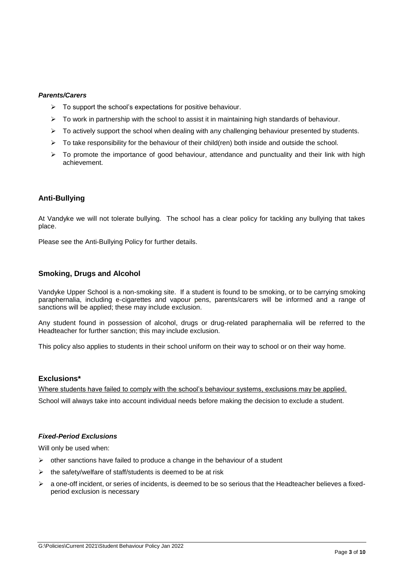#### *Parents/Carers*

- $\triangleright$  To support the school's expectations for positive behaviour.
- $\triangleright$  To work in partnership with the school to assist it in maintaining high standards of behaviour.
- $\triangleright$  To actively support the school when dealing with any challenging behaviour presented by students.
- $\triangleright$  To take responsibility for the behaviour of their child(ren) both inside and outside the school.
- $\triangleright$  To promote the importance of good behaviour, attendance and punctuality and their link with high achievement.

## **Anti-Bullying**

At Vandyke we will not tolerate bullying. The school has a clear policy for tackling any bullying that takes place.

Please see the Anti-Bullying Policy for further details.

#### **Smoking, Drugs and Alcohol**

Vandyke Upper School is a non-smoking site. If a student is found to be smoking, or to be carrying smoking paraphernalia, including e-cigarettes and vapour pens, parents/carers will be informed and a range of sanctions will be applied; these may include exclusion.

Any student found in possession of alcohol, drugs or drug-related paraphernalia will be referred to the Headteacher for further sanction; this may include exclusion.

This policy also applies to students in their school uniform on their way to school or on their way home.

#### **Exclusions\***

Where students have failed to comply with the school's behaviour systems, exclusions may be applied. School will always take into account individual needs before making the decision to exclude a student.

## *Fixed-Period Exclusions*

Will only be used when:

- $\triangleright$  other sanctions have failed to produce a change in the behaviour of a student
- $\triangleright$  the safety/welfare of staff/students is deemed to be at risk
- $\triangleright$  a one-off incident, or series of incidents, is deemed to be so serious that the Headteacher believes a fixedperiod exclusion is necessary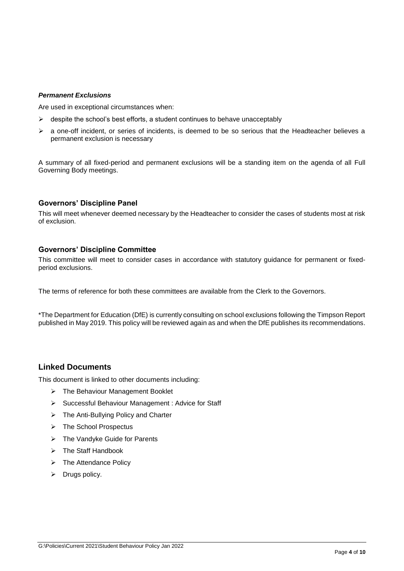#### *Permanent Exclusions*

Are used in exceptional circumstances when:

- $\triangleright$  despite the school's best efforts, a student continues to behave unacceptably
- a one-off incident, or series of incidents, is deemed to be so serious that the Headteacher believes a permanent exclusion is necessary

A summary of all fixed-period and permanent exclusions will be a standing item on the agenda of all Full Governing Body meetings.

#### **Governors' Discipline Panel**

This will meet whenever deemed necessary by the Headteacher to consider the cases of students most at risk of exclusion.

#### **Governors' Discipline Committee**

This committee will meet to consider cases in accordance with statutory guidance for permanent or fixedperiod exclusions.

The terms of reference for both these committees are available from the Clerk to the Governors.

\*The Department for Education (DfE) is currently consulting on school exclusions following the Timpson Report published in May 2019. This policy will be reviewed again as and when the DfE publishes its recommendations.

# **Linked Documents**

This document is linked to other documents including:

- > The Behaviour Management Booklet
- Successful Behaviour Management : Advice for Staff
- $\triangleright$  The Anti-Bullying Policy and Charter
- > The School Prospectus
- > The Vandyke Guide for Parents
- $\triangleright$  The Staff Handbook
- $\triangleright$  The Attendance Policy
- $\triangleright$  Drugs policy.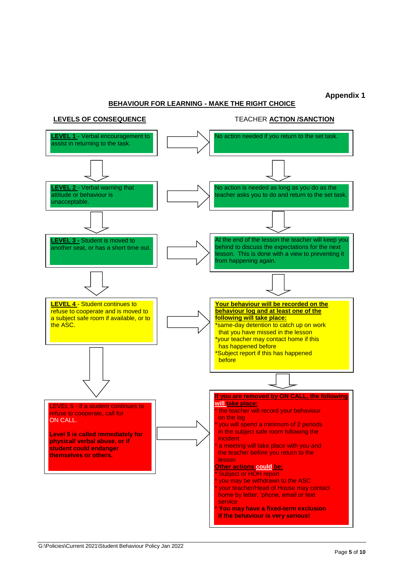# **Appendix 1**

# **BEHAVIOUR FOR LEARNING - MAKE THE RIGHT CHOICE**

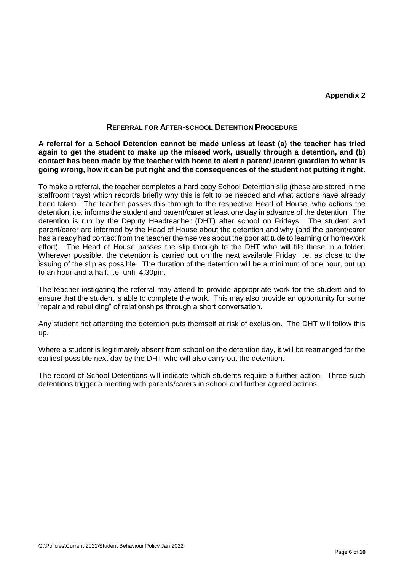# **Appendix 2**

# **REFERRAL FOR AFTER-SCHOOL DETENTION PROCEDURE**

**A referral for a School Detention cannot be made unless at least (a) the teacher has tried again to get the student to make up the missed work, usually through a detention, and (b) contact has been made by the teacher with home to alert a parent/ /carer/ guardian to what is going wrong, how it can be put right and the consequences of the student not putting it right.** 

To make a referral, the teacher completes a hard copy School Detention slip (these are stored in the staffroom trays) which records briefly why this is felt to be needed and what actions have already been taken. The teacher passes this through to the respective Head of House, who actions the detention, i.e. informs the student and parent/carer at least one day in advance of the detention. The detention is run by the Deputy Headteacher (DHT) after school on Fridays. The student and parent/carer are informed by the Head of House about the detention and why (and the parent/carer has already had contact from the teacher themselves about the poor attitude to learning or homework effort). The Head of House passes the slip through to the DHT who will file these in a folder. Wherever possible, the detention is carried out on the next available Friday, i.e. as close to the issuing of the slip as possible. The duration of the detention will be a minimum of one hour, but up to an hour and a half, i.e. until 4.30pm.

The teacher instigating the referral may attend to provide appropriate work for the student and to ensure that the student is able to complete the work. This may also provide an opportunity for some "repair and rebuilding" of relationships through a short conversation.

Any student not attending the detention puts themself at risk of exclusion. The DHT will follow this up.

Where a student is legitimately absent from school on the detention day, it will be rearranged for the earliest possible next day by the DHT who will also carry out the detention.

The record of School Detentions will indicate which students require a further action. Three such detentions trigger a meeting with parents/carers in school and further agreed actions.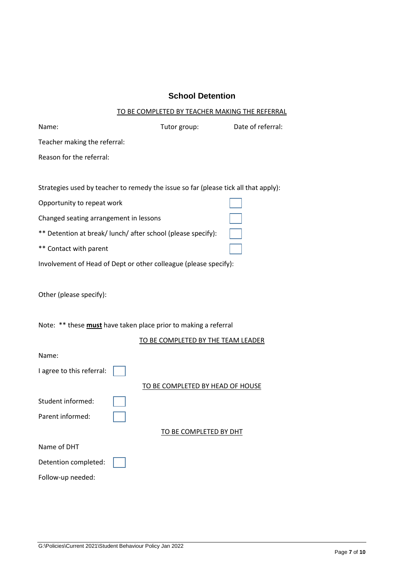# **School Detention**

## TO BE COMPLETED BY TEACHER MAKING THE REFERRAL

| Name:                                                                               | Tutor group:                              | Date of referral: |  |  |  |
|-------------------------------------------------------------------------------------|-------------------------------------------|-------------------|--|--|--|
| Teacher making the referral:                                                        |                                           |                   |  |  |  |
| Reason for the referral:                                                            |                                           |                   |  |  |  |
|                                                                                     |                                           |                   |  |  |  |
| Strategies used by teacher to remedy the issue so far (please tick all that apply): |                                           |                   |  |  |  |
| Opportunity to repeat work                                                          |                                           |                   |  |  |  |
| Changed seating arrangement in lessons                                              |                                           |                   |  |  |  |
| ** Detention at break/ lunch/ after school (please specify):                        |                                           |                   |  |  |  |
| ** Contact with parent                                                              |                                           |                   |  |  |  |
| Involvement of Head of Dept or other colleague (please specify):                    |                                           |                   |  |  |  |
|                                                                                     |                                           |                   |  |  |  |
| Other (please specify):                                                             |                                           |                   |  |  |  |
|                                                                                     |                                           |                   |  |  |  |
| Note: ** these must have taken place prior to making a referral                     |                                           |                   |  |  |  |
|                                                                                     | <u>TO BE COMPLETED BY THE TEAM LEADER</u> |                   |  |  |  |
| Name:                                                                               |                                           |                   |  |  |  |
| I agree to this referral:                                                           |                                           |                   |  |  |  |
|                                                                                     | <b>TO BE COMPLETED BY HEAD OF HOUSE</b>   |                   |  |  |  |
| Student informed:                                                                   |                                           |                   |  |  |  |
| Parent informed:                                                                    |                                           |                   |  |  |  |
|                                                                                     | <b>TO BE COMPLETED BY DHT</b>             |                   |  |  |  |
| Name of DHT                                                                         |                                           |                   |  |  |  |
| Detention completed:                                                                |                                           |                   |  |  |  |
| Follow-up needed:                                                                   |                                           |                   |  |  |  |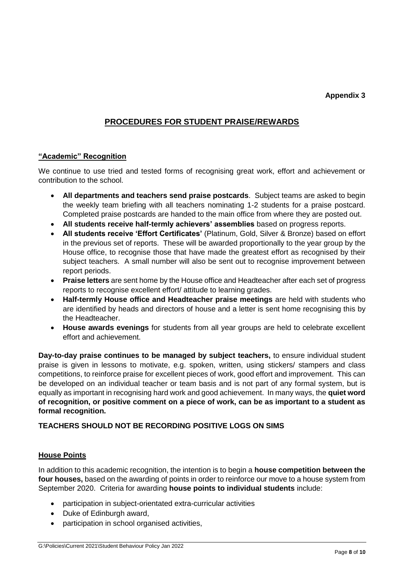# **PROCEDURES FOR STUDENT PRAISE/REWARDS**

# **"Academic" Recognition**

We continue to use tried and tested forms of recognising great work, effort and achievement or contribution to the school.

- **All departments and teachers send praise postcards**. Subject teams are asked to begin the weekly team briefing with all teachers nominating 1-2 students for a praise postcard. Completed praise postcards are handed to the main office from where they are posted out.
- **All students receive half-termly achievers' assemblies** based on progress reports.
- **All students receive 'Effort Certificates'** (Platinum, Gold, Silver & Bronze) based on effort in the previous set of reports. These will be awarded proportionally to the year group by the House office, to recognise those that have made the greatest effort as recognised by their subject teachers. A small number will also be sent out to recognise improvement between report periods.
- **Praise letters** are sent home by the House office and Headteacher after each set of progress reports to recognise excellent effort/ attitude to learning grades.
- **Half-termly House office and Headteacher praise meetings** are held with students who are identified by heads and directors of house and a letter is sent home recognising this by the Headteacher.
- **House awards evenings** for students from all year groups are held to celebrate excellent effort and achievement.

**Day-to-day praise continues to be managed by subject teachers,** to ensure individual student praise is given in lessons to motivate, e.g. spoken, written, using stickers/ stampers and class competitions, to reinforce praise for excellent pieces of work, good effort and improvement. This can be developed on an individual teacher or team basis and is not part of any formal system, but is equally as important in recognising hard work and good achievement. In many ways, the **quiet word of recognition, or positive comment on a piece of work, can be as important to a student as formal recognition.** 

# **TEACHERS SHOULD NOT BE RECORDING POSITIVE LOGS ON SIMS**

# **House Points**

In addition to this academic recognition, the intention is to begin a **house competition between the four houses,** based on the awarding of points in order to reinforce our move to a house system from September 2020. Criteria for awarding **house points to individual students** include:

- participation in subject-orientated extra-curricular activities
- Duke of Edinburgh award,
- participation in school organised activities,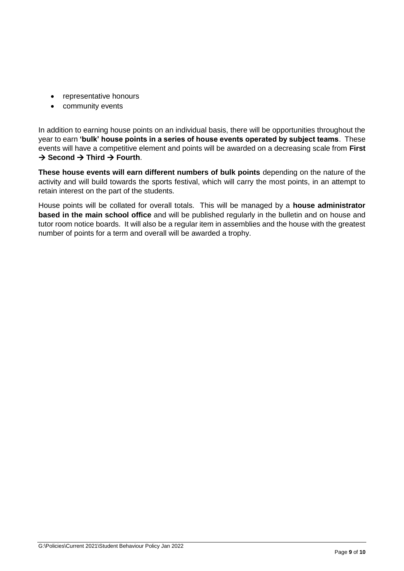- representative honours
- community events

In addition to earning house points on an individual basis, there will be opportunities throughout the year to earn **'bulk' house points in a series of house events operated by subject teams**. These events will have a competitive element and points will be awarded on a decreasing scale from **First**   $\rightarrow$  Second  $\rightarrow$  Third  $\rightarrow$  Fourth.

**These house events will earn different numbers of bulk points** depending on the nature of the activity and will build towards the sports festival, which will carry the most points, in an attempt to retain interest on the part of the students.

House points will be collated for overall totals. This will be managed by a **house administrator based in the main school office** and will be published regularly in the bulletin and on house and tutor room notice boards. It will also be a regular item in assemblies and the house with the greatest number of points for a term and overall will be awarded a trophy.